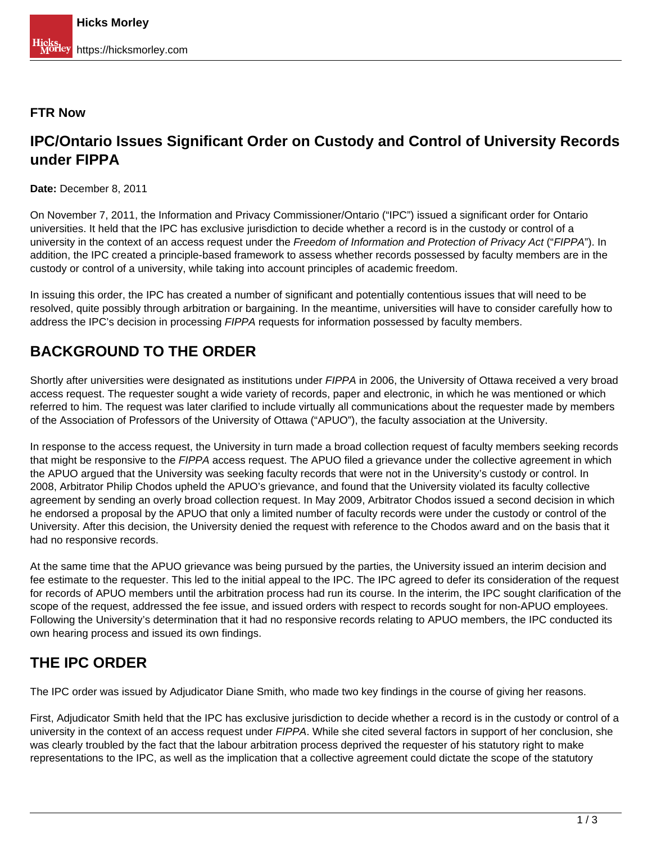#### **FTR Now**

#### **IPC/Ontario Issues Significant Order on Custody and Control of University Records under FIPPA**

**Date:** December 8, 2011

On November 7, 2011, the Information and Privacy Commissioner/Ontario ("IPC") issued a significant order for Ontario universities. It held that the IPC has exclusive jurisdiction to decide whether a record is in the custody or control of a university in the context of an access request under the Freedom of Information and Protection of Privacy Act ("FIPPA"). In addition, the IPC created a principle-based framework to assess whether records possessed by faculty members are in the custody or control of a university, while taking into account principles of academic freedom.

In issuing this order, the IPC has created a number of significant and potentially contentious issues that will need to be resolved, quite possibly through arbitration or bargaining. In the meantime, universities will have to consider carefully how to address the IPC's decision in processing FIPPA requests for information possessed by faculty members.

## **BACKGROUND TO THE ORDER**

Shortly after universities were designated as institutions under FIPPA in 2006, the University of Ottawa received a very broad access request. The requester sought a wide variety of records, paper and electronic, in which he was mentioned or which referred to him. The request was later clarified to include virtually all communications about the requester made by members of the Association of Professors of the University of Ottawa ("APUO"), the faculty association at the University.

In response to the access request, the University in turn made a broad collection request of faculty members seeking records that might be responsive to the FIPPA access request. The APUO filed a grievance under the collective agreement in which the APUO argued that the University was seeking faculty records that were not in the University's custody or control. In 2008, Arbitrator Philip Chodos upheld the APUO's grievance, and found that the University violated its faculty collective agreement by sending an overly broad collection request. In May 2009, Arbitrator Chodos issued a second decision in which he endorsed a proposal by the APUO that only a limited number of faculty records were under the custody or control of the University. After this decision, the University denied the request with reference to the Chodos award and on the basis that it had no responsive records.

At the same time that the APUO grievance was being pursued by the parties, the University issued an interim decision and fee estimate to the requester. This led to the initial appeal to the IPC. The IPC agreed to defer its consideration of the request for records of APUO members until the arbitration process had run its course. In the interim, the IPC sought clarification of the scope of the request, addressed the fee issue, and issued orders with respect to records sought for non-APUO employees. Following the University's determination that it had no responsive records relating to APUO members, the IPC conducted its own hearing process and issued its own findings.

# **THE IPC ORDER**

The IPC order was issued by Adjudicator Diane Smith, who made two key findings in the course of giving her reasons.

First, Adjudicator Smith held that the IPC has exclusive jurisdiction to decide whether a record is in the custody or control of a university in the context of an access request under FIPPA. While she cited several factors in support of her conclusion, she was clearly troubled by the fact that the labour arbitration process deprived the requester of his statutory right to make representations to the IPC, as well as the implication that a collective agreement could dictate the scope of the statutory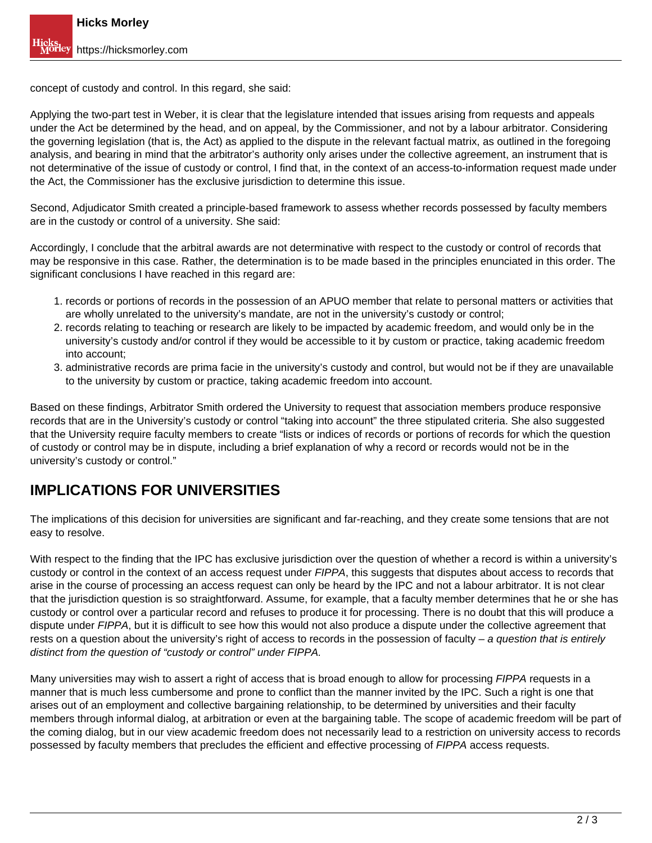concept of custody and control. In this regard, she said:

Applying the two-part test in Weber, it is clear that the legislature intended that issues arising from requests and appeals under the Act be determined by the head, and on appeal, by the Commissioner, and not by a labour arbitrator. Considering the governing legislation (that is, the Act) as applied to the dispute in the relevant factual matrix, as outlined in the foregoing analysis, and bearing in mind that the arbitrator's authority only arises under the collective agreement, an instrument that is not determinative of the issue of custody or control, I find that, in the context of an access-to-information request made under the Act, the Commissioner has the exclusive jurisdiction to determine this issue.

Second, Adjudicator Smith created a principle-based framework to assess whether records possessed by faculty members are in the custody or control of a university. She said:

Accordingly, I conclude that the arbitral awards are not determinative with respect to the custody or control of records that may be responsive in this case. Rather, the determination is to be made based in the principles enunciated in this order. The significant conclusions I have reached in this regard are:

- 1. records or portions of records in the possession of an APUO member that relate to personal matters or activities that are wholly unrelated to the university's mandate, are not in the university's custody or control;
- 2. records relating to teaching or research are likely to be impacted by academic freedom, and would only be in the university's custody and/or control if they would be accessible to it by custom or practice, taking academic freedom into account;
- 3. administrative records are prima facie in the university's custody and control, but would not be if they are unavailable to the university by custom or practice, taking academic freedom into account.

Based on these findings, Arbitrator Smith ordered the University to request that association members produce responsive records that are in the University's custody or control "taking into account" the three stipulated criteria. She also suggested that the University require faculty members to create "lists or indices of records or portions of records for which the question of custody or control may be in dispute, including a brief explanation of why a record or records would not be in the university's custody or control."

### **IMPLICATIONS FOR UNIVERSITIES**

The implications of this decision for universities are significant and far-reaching, and they create some tensions that are not easy to resolve.

With respect to the finding that the IPC has exclusive jurisdiction over the question of whether a record is within a university's custody or control in the context of an access request under FIPPA, this suggests that disputes about access to records that arise in the course of processing an access request can only be heard by the IPC and not a labour arbitrator. It is not clear that the jurisdiction question is so straightforward. Assume, for example, that a faculty member determines that he or she has custody or control over a particular record and refuses to produce it for processing. There is no doubt that this will produce a dispute under FIPPA, but it is difficult to see how this would not also produce a dispute under the collective agreement that rests on a question about the university's right of access to records in the possession of faculty  $-$  a question that is entirely distinct from the question of "custody or control" under FIPPA.

Many universities may wish to assert a right of access that is broad enough to allow for processing FIPPA requests in a manner that is much less cumbersome and prone to conflict than the manner invited by the IPC. Such a right is one that arises out of an employment and collective bargaining relationship, to be determined by universities and their faculty members through informal dialog, at arbitration or even at the bargaining table. The scope of academic freedom will be part of the coming dialog, but in our view academic freedom does not necessarily lead to a restriction on university access to records possessed by faculty members that precludes the efficient and effective processing of FIPPA access requests.